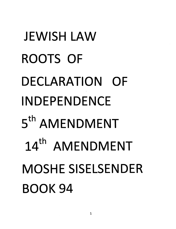# **JEWISH LAW ROOTS OF** DECLARATION OF **INDEPENDENCE** 5<sup>th</sup> AMENDMENT 14<sup>th</sup> AMENDMENT **MOSHE SISELSENDER BOOK 94**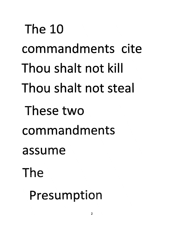**The 10** The Thou shalt not kill Thou shalt not steal These two commandments assume cite community and community community and community community community community community community community community community community community community community community community community community community Presumption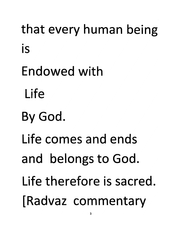that every human being *sacred is therefore Life* Endowed with *ends and comes Life* By God. *Life* and belongs to God. Life therefore is sacred. *f* Radvaz commentary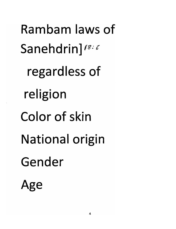Rambam laws of Sanehdrin]<sup>18:6</sup> regardless of religion Color of skin **National origin** Gender Age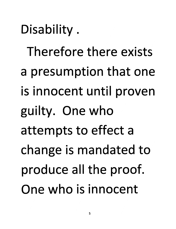*Disability.*

*Therefore there exists a presumption that one is innocent until proven guilty. One who attempts to effect a change is mandated to produce all the proof. One who is innocent*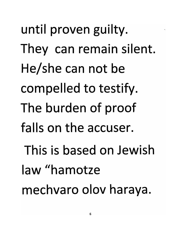until proven guilty. They can remain silent. He/she can not be compelled to testify. The burden of proof falls on the accuser. This is based on Jewish law "hamotze mechvaro olov haraya.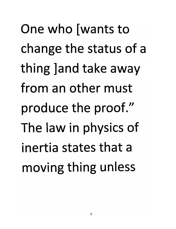One who [wants to change the status of a thing *Jand* take away *from an other must* produce the proof." The law in physics of *inertia states that a moving thing unless <sup>a</sup> of status the change*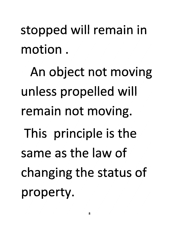of status the changing status the changing status of  $\mathbb{R}^n$ stopped will remain in

property. changing the status of same as the law of This principle is the remain not moving. unless propelled will An object not moving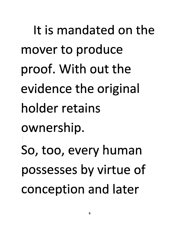It is mandated on the us conception and conception of the conception of the conception of the conception of the conception of the co mover to produce proof. With out the evidence the original ownership. retains holder original the evidence So, too, every human possesses by virtue of<br>conception and later the only in the only in the only in the only in the only in the only in the only in the only in the only in the only in the only in the only in the only in the only in the only in the only in the only in the only in the on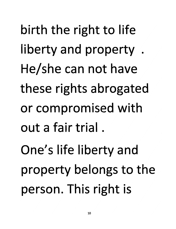*person. This right is property belongs* to the *have not can He/she abrogated rights these with compromised or*  $or$  *compromised* with *He/she can not have*<br>*these rights abrogated k k berty* and property. *birth* the right to life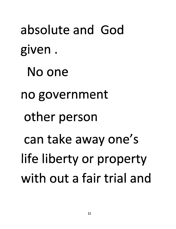absolute and God *and trial fair <sup>a</sup> out with <u>No</u> one</del>* **no** government *person* can take away one's *life liberty or property* with out a fair trial and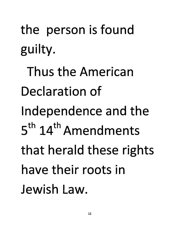the person is found guilty.

Thus the American Declaration of Independence and the 5<sup>th</sup> 14<sup>th</sup> Amendments that herald these rights have their roots in Jewish Law.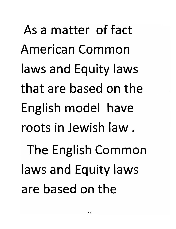As a matter of fact American Common *laws Equity and laws* **laws and Equity laws** that are based on the English model have *have model English laws Equity and laws Common American* are based on the *fact of matter <sup>a</sup> As*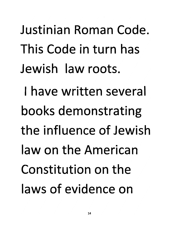*Justinian Roman Code. This Code in turn has Jewish law roots. I have written several books demonstrating the influence of Jewish law on the American Constitution on the laws of evidence on*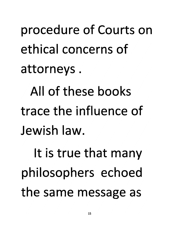attorneys. ethical concerns of procedure of Courts on

*b these these these different associations* **trace the influence of** All of these books

the same message as philosophers echoed It is true that many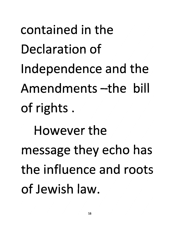contained in the Declaration of Independence and the Amendments – the bill of rights. However the message they echo has the influence and roots of Jewish law.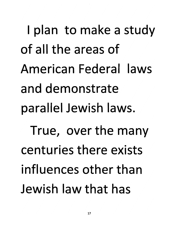*I plan to make a study of all the areas of American Federal laws and demonstrate parallel Jewish laws. True, over the many centuries there exists influences other than Jewish law that has*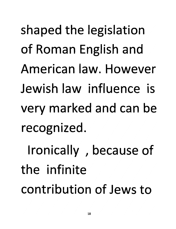*is influence law Jewish*  $recognized$ . very marked and can be *of because Ironically ,* **of Roman English and** shaped the legislation

*legislation the shaped and English Roman of However law. American*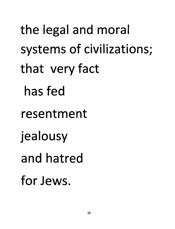the legal and moral systems of civilizations; that very fact has fed resentment jealousy *fact very that* for *Jews*.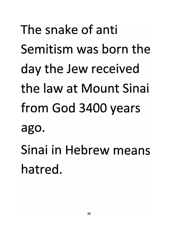The snake of anti Semitism was born the day the Jew received the law at Mount Sinai from God 3400 years ago. Sinai in Hebrew means hatred.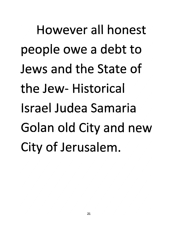However all honest people owe a debt to Jews and the State of the Jew-Historical *Israel Judea Samaria Golan old City and new* **City of Jerusalem.**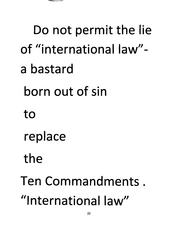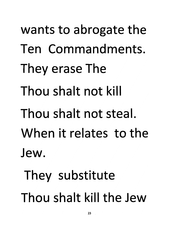*wants to abrogate the* **Ten Commandments.** They erase The *Thou shalt not kill steal. not shalt Thou When it relates to the* Jew. They substitute *Thou shalt kill the Jew*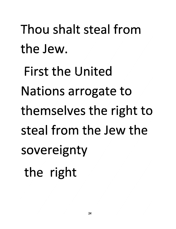Thou shalt steal from the Jew. **First the United Nations arrogate to** themselves the right to steal from the Jew the sovereignty the right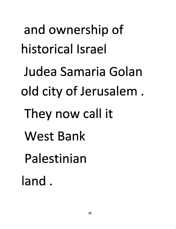*and ownership of historical Israel Judea Samaria Golan old city of Jerusalem . They now call it West Bank Palestinian land .*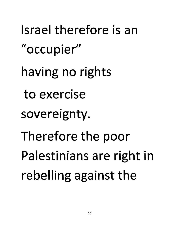Israel therefore is an "occupier" having no rights to exercise sovereignty. Therefore the poor Palestinians are right in rebelling against the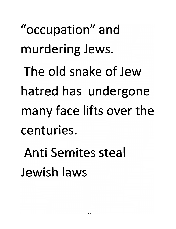"occupation" and murdering Jews. The old snake of Jew hatred has undergone *many* face lifts over the *undergone has hatred*

*Jews. murdering* **Anti Semites steal**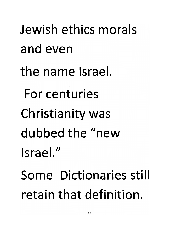*dewish ethics morals* and even the name Israel. **For centuries** *Christianity* was dubbed the "new Israel." **Some Dictionaries still** *retain that definition.*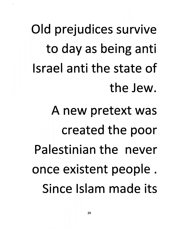Old prejudices survive to day as being anti Israel anti the state of the Jew.

A new pretext was created the poor Palestinian the never once existent people. Since Islam made its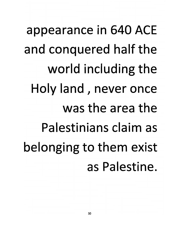appearance in 640 ACE and conquered half the world including the Holy land, never once was the area the Palestinians claim as belonging to them exist as Palestine.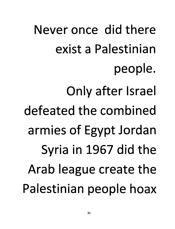Never once did there *hoax people Palestinian the create league Arab the did 1967 in Syria Only after Israel combined the defeated* armies of Egypt Jordan **Syria in 1967 did the<br>Arab league create the** *Palestinian <sup>a</sup> exist there did once Never*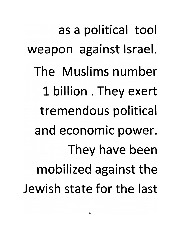as a political tool weapon against Israel. The Muslims number 1 billion . They exert tremendous political and economic power. They have been mobilized against the Jewish state for the last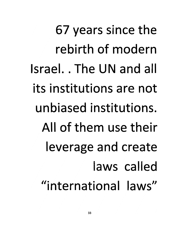67 years since the rebirth of modern Israel. The UN and all its institutions are not unbiased institutions. All of them use their leverage and create laws called "international laws"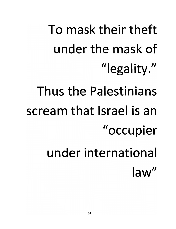To mask their theft under the mask of "legality."

- Thus the Palestinians
- scream that Israel is an "occupier
	- under international law"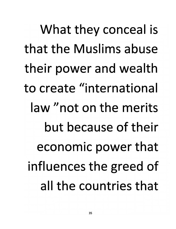What they conceal is that the Muslims abuse their power and wealth to create "international law "not on the merits but because of their economic power that influences the greed of all the countries that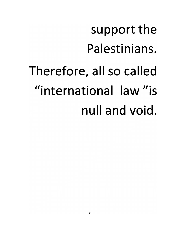## support the Palestinians. Therefore, all so called "international law" is null and void.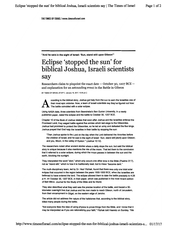*THE TIMESOFISRAEL Iwww.timesofisrael.com*

*"And he said in the sight of Israel: 'Sun, stand still upon Gibeon"1*

#### Eclipse 'stopped the sun' for biblical Joshua, Israeli scientists say

Researchers claim to pinpoint the exact date  $-$  October 30, 1207 BCE  $$ and explanation for an astounding event in the Battle in Gibeon

BY TIMES OF ISRAEL STAFF | January 16, 2017, 10:35 pm |

*A* ccording to the biblical story, Joshua got help from the sun to earn the Israelites one of their most epic victories. Now, a team of Israeli scientists say they've figured out how: The battle coincided with a solar eclipse.

Using NASA data, three scientists from Beersheba's Ben Gurion University, in a newly published paper, dated the eclipse and the battle to October 30, 1207 BCE.

Chapter 10 of the Book of Joshua relates that soon after Joshua and the Israelites entered the Promised Land, they waged battle against five armies which laid siege to the Gibeonites. Joshua had promised to protect the Gibeonites, so he led an army and defeated the five kings. Joshua prayed that God help the Israelites in their battle by stopping the sun:

"Then Joshua spoke to the Lord on the day when the Lord delivered the Amorites before the children of Israel; and he said in the sight of Israel: 'Sun, stand still **[dom]** upon Gibeon; and you, Moon, in the valley of Avalon.'" (Joshua 10:12).

The researchers noted other ancient stories where a deity stops the sun, but said the biblical story is unique because it also mentions the role of the moon. That led them to the conclusion that it referred to a solar eclipse, during which the moon passes in between the sun and the earth, blocking the sunlight.

They interpreted the word "dom," which only occurs one other time in the Bible (Psalms 37:7), not as "stand still,"which is how it is traditionally read, but to mean "become dark."

The multi-disciplinary team, led by Dr. Hezi Yitzhak, found that there was only one total solar eclipse that occurred in the region between the years 1500-1000 BCE, when the Israelites are believed to have entered the land. The eclipse allowed them to date the battle precisely to 4:28 p.m. on October 30, 1207 BCE, in their paper, which was published in the most recent edition of Beit Mikra: Journal for the Study of the Bible and Its World.

They also described what they said was the precise location of the battle, and traced a 30 kilometer overnight trek that Joshua and his men made to reach Gibeon, north of Jerusalem, from their encampment in Gilgal, on the eastern edge of Jericho.

The article did not address the nature of the hailstones that, according to the biblical story, killed many people during the battle.

"Not everyone likes the idea of using physics to prove things from the Bible, and I know that it may be interpreted as ifyou are rationalizing your faith," Yitzhak told Haaretz on Sunday. "We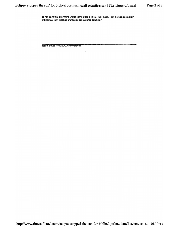*do not claim that everything written in the Bible is true or took place... but there is also a grain of historical truth that has archaeological evidence behind it."*

*© 2015 THE TIMES OF ISRAEL. ALL RIGHTS RESERVED*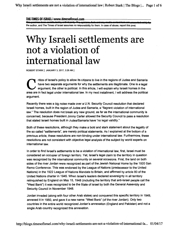Why Israeli settlements are not a violation of international law | Robert Stark | The Blogs |... Page 1 of 6

*THE TIMESOFISRAEL* 1*www.timesofisrael.com*

the author, and The Times of Israel assumes no responsibility for them. In case of abuse, report this post,

### Why Israeli settlements are not a violation of international law

*ROBERTSTARK | JANUARY 3, 2017,3:28 AM |*

*Critics of Israel's policy to allow its citizens to live in the regions of Judea and Samaria have two separate arguments for why the settlements are illegitimate. One is a legal argument, the other is political. In this article, Iwill explain why Israeli homes in the area are in fact legal under international law. In my next installment, Iwill address the political argument.*

*Recently there was a big noise made over a U.N. Security Council resolution that declared Israeli homes, built in the region of Judea and Samaria, a "flagrant violation of international law." The resolution does not break any new ground, as far as the international community is concerned, because President Jimmy Carter allowed the Security Council to pass a resolution that stated Israeli homes built in Judea/Samaria have "no legal validity."*

*Both of these resolutions, although they make a bold and stark statement about the legality of the so called "settlements", are merely political statements. As I explained at the bottom of a previous article, these resolutions are non-binding under international law. Furthermore, these resolutions are not consistent with objective legal analysis of the subject by world experts on international law.*

*In order to find Israel's settlements to be a violation of international law, first, Israel must be considered an occupier of foreign territory. Yet, Israel's legal claim to the territory in question was recognized by the international community on several occasions. First, the land on both sides of the river Jordan were recognized as part of the Jewish National Home by the 1920 San Remo Conference. This was endorsed by the League of Nations (predecessor to the United Nations) in the 1922 League of Nations Mandate to Britain, and affirmed by article 80 of the United Nations charter in 1945. When Israel's leaders declared sovereignty in all territory relinquished by England on May 15,1948 (including the territory that anti-Israel people call the "West Bank") itwas recognized to be the State of Israel by both the General Assembly and Security Council in November 1948.*

*Jordan invaded (along with four other Arab states) and conquered this specific territory in 1949, annexed it in 1950, and gave it a new name: "West Bank" (of the riverJordan). Only two countries in the entire world recognized Jordan's annexation (England and Pakistan) and not a single Arab country recognized this annexation.*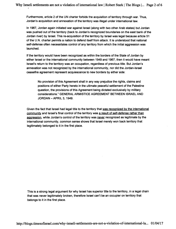*Furthermore, article 2 of the UN charter forbids the acquisition of territory through war. Thus, Jordan's acquisition and annexation of the territory was illegal under international law.*

*In 1967, Jordan again initiated war against Israel (along with two other Arab states) but Jordan was pushed out of the territory (back to Jordan's recognized boundaries on the east bank of the Jordan river) by Israel. This re-acquisition of the territory by Israel was legal because article 51 of the U.N. charter permits a nation to defend itself from attack. It is understood that national self-defense often necessitates control of any territory from which the initial aggression was launched.*

*If the territory would have been recognized as within the borders of the State of Jordan by either Israel or the international community between 1949 and 1967, then it would have meant Israel's return to the territory was an occupation, regardless of previous title. But Jordan's annexation was not recognized by the international community, nor did the Jordan-Israel ceasefire agreement represent acquiescence to new borders by either side:*

*No provision of this Agreement shall in any way prejudice the rights, claims and positions of either Party hereto in the ultimate peaceful settlement of the Palestine question, the provisions of this Agreement being dictated exclusively by military considerations." GENERAL ARMISTICE AGREEMENT BETWEEN ISRAEL AND JORDAN-APRIL 3, 1949.*

*Given the fact that Israel had legal title to the territory that was recognized bv the international community and Israel's final control of the territory was a result of self-defense rather than aggression, while Jordan's control of the territory was never recognized as legitimate by the international community, common sense shows that Israel merely won back territory that legitimately belonged to it in the first place.*

*This is a strong legal argument forwhy Israel has superior title to the territory, in a legal chain that was never legitimately broken, therefore Israel can't be an occupier on territory that belongs to it in the first place.*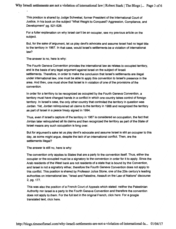*This position is shared by Judge Schwebel, former President of the International Court of Justice, in his book on the subject "What Weight to Conquest? Aggression, Compliance, and Development" pg. 521-526.*

*For a fuller explanation on why Israel can't be an occupier, see my previous article on the subject.*

*But, for the sake of argument, let us play devil's advocate and assume Israel had no legal title to the territory in 1967. In that case, would Israel's settlements be a violation of international law?*

*The answer is no, here is why:*

*The Fourth Geneva Convention provides the international law as relates to occupied territory, and is the basis of any legal argument against Israel on the subject of Israeli settlements. Therefore, in order to make the conclusion that Israel's settlements are illegal under international law, one must be able to apply this convention to Israel's presence in the area. And then, one must show that Israel is in violation of one of the provisions of the convention.*

*In order for a territoryto be recognized as occupied by the Fourth Geneva Convention, a territory must have changed hands in a conflictin which one country takes control of foreign territory. In Israel's case, the only other country that controlled the territory in question was Jordan. Yet, Jordan relinquished all claims to the territory in 1988 and recognized the territory as part of Israel in a peace treaty signed in 1994.*

*Thus, even if Israel's capture of the territory in 1967 is considered an occupation, the fact that Jordan later relinquished all its claims and then recognized the territory as part of the State of Israel means any such occupation is long over.*

*But for argument's sake let us playdevil's advocate and assume Israel is still an occupierto this day, as some might argue, despite the lack of an international conflict. Then, are the settlements illegal?*

*The answer is still no, here is why:*

*The convention only applies to States that are a party to the convention itself. Thus, either the occupier or the occupied must be a signatory to the convention in orderfor itto apply. Since the Arab residents of the West bank are not residents of a state that is bound by the Convention, and Israel is not a signatory either, therefore the Fourth Geneva Convention does not apply to this conflict. This position is shared by Professor Julius Stone, one of the 20th century's leading authorities on international law, "Israel and Palestine, Assault on the Law of Nations" discourse 2, pg. 177.*

*This was also the position of a French Court of Appeals which stated: neither the Palestinian Authority norIsrael is a party to the Fourth Geneva Convention and therefore the convention does not apply to them. For the full text in the original French, click here. For a google translated text, click here.*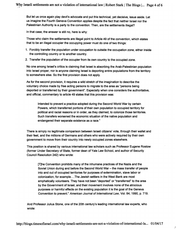*But let us once again play devil's advocate and put this technical, yet decisive, issue aside. Let us imagine the Fourth Geneva Convention applies despite the fact that neither Israel nor the Palestinian Authority is a party to the convention. Then, are the settlements illegal?*

*In that case, the answer is still no, here is why:*

*Those who claim the settlements are illegal point to Article 49 of the convention, which states that to be an illegal occupier the occupying power must do one of two things:*

- *1. Forcibly transfer the population under occupation to outside the occupation zone, either inside the controlling country or to another country.*
- *2. Transfer the population of the occupier from its own country to the occupied zone.*

*No one among Israel's critics is claiming that Israel is absorbing the Arab-Palestinian population into Israel proper, nor is anyone claiming Israel is deporting entire populations from the territory to somewhere else. So the first provision does not apply.*

*As for the second provision, it requires a wild stretch of the imagination to describe the voluntary choice made by free acting persons to migrate to the area as "persons being deported or transferred by their government". Especially when one considers the authoritative, and official, commentary to article 49 states that this provision was:*

*Intended to prevent a practice adopted during the Second World War by certain Powers, which transferred portions of their own population to occupied territory for political and racial reasons or in order, as they claimed, to colonize those territories. Such transfers worsened the economic situation of the native population and endangered their separate existence as a race."*

*There is simply no legitimate comparison between Israeli citizens' vote, through their wallet and their feet, and the millions of Germans and others who were actively required by their own government to move from their country into newly occupied zones elsewhere.*

*This position is shared by various international law scholars such as Professor Eugene Rostow (former Under Secretary of State, former dean of Yale Law School, and author of Security Council Resolution 242) who wrote:*

*[T]he Convention prohibits many of the inhumane practices of the Nazis and the Soviet Union during and before the Second World War - the mass transfer of people into and out of occupied territories for purposes of extermination, slave labor or colonization, for example... The Jewish settlers in the West Bank are most emphatically volunteers. They have not been "deported" or "transferred" to the area by the Government of Israel, and their movement involves none of the atrocious purposes or harmful effects on the existing population it is the goal of the Geneva Convention to prevent." American Journal of International Law, Vol. 84,1990, p. 719.*

*And Professor Julius Stone, one of the 20th century's leading international law experts, who wrote:*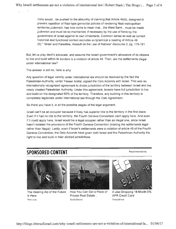Irony would... be pushed to the absurdity of claiming that Article 49(6), designed to prevent repetition of Nazi-type genocidal policies of rendering Nazi metropolitan territories **judenrein,** has now come to mean that...the West Bank...must be made **judenrein** and must be so maintained, if necessary by the use of force by the government of Israel against its own inhabitants. Common sense as well as correct historical and functional context excludes so tyrannical a reading of Article 49 (6)." "Israel and Palestine, Assault on the Law of Nations" discourse 2, pg. 179-181.

But, let us play devil's advocate, and assume the Israeli government's allowance of its citizens to live and build within its borders is a violation of article 49. Then, are the settlements illegal under international law?

The answer is still no, here is why:

Any question of legal validity under international law should be resolved by the fact the Palestinian-Authority, under Yasser Arafat, signed the Oslo Accords with Israel. This was an internationally recognized agreement to divide jurisdiction of the territory between Israel and the newly created Palestinian Authority. Under this agreement, Israelis have full jurisdiction to live and build on the designated 60% of the territory. Therefore, any building in this territory is completely legitimate under international law through the Oslo Agreement.

So there you have it, in all the possible stages of the legal argument:

Israel can't be an occupier because it likely has superior title to the territory in the first place. Even if it had no title to the territory, the Fourth Geneva Convention can't apply here. And even if it could apply here, Israel would be a legal occupier rather than an illegal one, since Israel hasn't violated the provisions of the Fourth Geneva Convention (making the settlements legal rather than illegal). Lastly, even if Israel's settlements were a violation of article 49 of the Fourth Geneva Convention, the Oslo Accords have given both Israel and the Palestinian Authority the right to live and build in their allotted jurisdictions.

#### *SPONSORED CONTENT*

Recommended by



The Hearing Aid of the Future is Here Hear.com



How You Can Get a Piece of Private Real Estate... RealtyShares



A Jaw-Dropping 18-Month 0% APR Credit Card NextAdvisor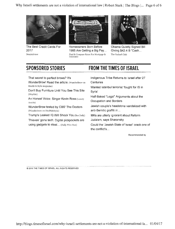Why Israeli settlements are not a violation of international law | Robert Stark | The Blogs |... Page 6 of 6



The Best Credit Cards For 2017 *NextAdvisor*



Homeowners Bom Before 1985 Are Getting a Big Pay... Find & Compare Rates For Mortgage & Insurance



Obama Quietly Signed Bill Giving \$42.4 B"Cash... The Oxford Club

#### *SPONSORED STORIES*

#### *FROM THE TIMES OF ISRAEL*

That secret to perfect brows? It's

WunderBrow! Read the article. (WunderBrow on Health & Style magazine)

Don't Buy Furniture Until You See This Site (Wayfaiv)

An Honest Voice: Singer Kevin Ross (Luxury Awaits)

WunderBrow tested by CBS' The Doctors (Wunderbrow on Health&Style)

Trump's Leaked IQ Will Shock You (Bae Daily)

Thieves' gone tech: Digital pickpockets are using gadgets to steal... (Daily Wire Star)

Indigenous Tribe Returns to Israel after 27 **Centuries** 

Wanted Istanbul terrorist 'fought for IS in Syria'

Half-Baked "Legal" Arguments about the Occupation and Borders

Jewish couple's headstone vandalized with anti-Semitic graffiti in...

MKs are utterly ignorant about Reform Judaism, says Sharansky

Could the 'Jewish State of Israel' crack one of the conflict's...

Recommended by

© 2015 THE TIMES OF ISRAEL, ALL RIGHTS RESERVED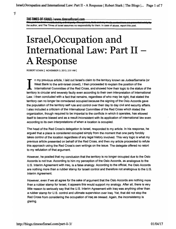*THE TIMES OF ISRAEL 1www.timesofisrael.com*

the author, and The Times of Israel assumes no responsibility for them. In case of abuse, report this post.

## Israel,Occupation and International Law: Part II - A Response

*ROBERT STARK| NOVEMBER 3, 2013, 2:51 AM |*

*In my previous article, I laid out Israel's claim to the territory known as Judea/Samaria (or West Bank to the anti-Israel crowd), Ithen proceeded to explain the position of the International Committee of the Red Cross, and showed how their logic to the status of the territory is circularand severely faulty even according to their own interpretation of International Law. Ithen concluded with a fact that remains, regardless of who may be right, that stated the territorycan no longer be considered occupied because the signing of the Oslo Accords gave the population of the territory self rule and control over their day to day civil and security affairs. I also included a criticism of the International Committee of the Red Cross which stated the organization, though required to be impartial to the conflicts in which it operates, has allowed itself to become biased and as a result inconsistent with its application of international law even according to its own interpretations of when a location is occupied.*

*The head of the Red Cross's delegation to Israel, responded to my article. In his response, he argued that a place is considered occupied simply from the moment that one party forcibly takes control of the location regardless of any legal history involved. This very logic is what my previous article presented on behalf of the Red Cross, and then my article proceeded to refute this approach using the Red Cross's own writings on the issue. The delegate offered no retort to my refutation of that argument.*

*However, he posited that my conclusion that the territory is no longer occupied due to the Oslo Accords is not true. According to him my perception of the Oslo Accords, as analogous to the U.S. Interim Agreement with Iraq, is a false analogy. According to the official, the Oslo Accords are nothing more than a rubber stamp for Israeli control and therefore not analogous to the U.S. Interim Agreement.*

*However, even ifwe all agree for the sake of argument that the Oslo Accords are nothing more than a rubber stamp for Israel, it appears this would support my analogy. After all, there is very little reason to seriously say that the U.S. Interim Agreement with Iraq was anything other than a rubber stamp for U.S. control and ultimate supervision over Iraq. Yet, that did not stop the Red Cross from considering the occupation of Iraq as ceased. Again, the inconsistency is glaring.*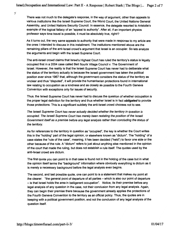There was not much to the delegate's response, in the way of argument, other than appeals to various institutions like the Israeli Supreme Court, the World Court, the United Nations General Assembly, and United Nations Security Council. In essence, the delegate resorted to Aristotle's example of the logical fallacy of an "appeal to authority". After all, if an important physics professor says time travel is possible, it must be absolutely true, right!?

As it turns out, the very same appeals to authority that were made in response to my article are the ones I intended to discuss in this installment. The institutions mentioned above are the remaining pillars of the anti-Israel crowd's argument that Israel is an occupier. So lets analyze the arguments and begin with the Israeli Supreme Court.

The anti-Israel crowd claims that Israel's Highest Court has ruled the territory's status is legally occupied first in a 2004 case called Beit Sourik Village Council v. The Government of Israel. However, the reality is that the Israeli Supreme Court has never had to deliberate what the status of the territory actually is because the Israeli government has taken the political position ever since 1967 that, although the government considers the status of the territory as unclear and thus "disputed", it will provide the humanitarian protections found in international law relating to occupation as a kindness and as closely as possible to the Fourth Geneva Convention with exceptions only for issues of security.

Thus, the Israeli Supreme Court has never had to discuss the question of whether occupation is the proper legal definition for the territory and thus whether Israel is in fact *obligated* **to** provide those protections. This is a significant subtlety the anti-Israel crowd chooses not to see.

**The Israeli Supreme Courthas never actually decided whether the territory in question is occupied.** The Israeli Supreme Court has merely been restating the position of the Israeli **Governmentitself as a premise before any legal analysis ratherthan concluding the status of the territory.**

As for references to the territory in question as "occupied", the key is whether the Court writes this in the "holding" part of the legal opinion, or elsewhere known as "dictum". The "holding" of a case states the "rule of the case", meaning, it has been decided ("held") to favor one side or the other because of the rule. A "dictum" refers to just about anything else mentioned in the opinion of the court that made the ruling, but does not establish a rule itself. The quotes used by the anti-Israel crowd are dictum.

The first quote you can point to in that case is found not in the holding of the case but in what the opinion itself terms the "background" information where obviously everything is dictum as it is merely a necessary background before the legal analysis even begins.

The second, and last possible quote, one can point to is a statement that makes my point all the clearer: "the general point of departure of all parties - which is also our point of departure - is that Israel holds the area in belligerent occupation". Notice, its their premise before any legal analysis of any question in the case, not their conclusion from any legal analysis. Again, they can begin their premise there because the government already applies the protections of the Fourth Geneva Convention to the territory as an official policy. Thus, the quotes are in keeping with a political government position, and not the conclusion of any legal analysis of the question itself.

 $\vec{r}$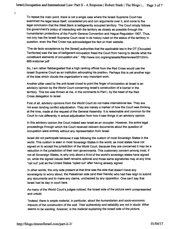$\vec{r}$ 

*To repeat the main point, there is not a single case where the Israeli Supreme Court has examined the legal issue itself, considered pro and con arguments over it, and come to the legal conclusion that the West Bank is belligerently occupied territory. The Court simply follows the government's policy of interacting with the territory as closely as possible through the humanitarian protections of the Fourth Geneva Convention and Hague Regulation 1907. Thus, not only has the Israeli Supreme Court never in its history ruled on the status of the territory in question, even the Red Cross has acknowledged the fact on their website.*

*"The de facto acceptance by the [Israeli] authorities that the applicable law in the OT [Occupied Territories] was the law of belligerent occupation freed the Court from having to decide what the constituent elements of occupation are." http://www.icrc.org/eng/assets/files/review/2012/irrc-885-kretzmer.pdf*

*So, I am rather flabbergasted that a high ranking official from the Red Cross would use the Israeli Supreme Court as an institution advocating his position. Perhaps this is yet another sign of the bias which clouds the organization's very important work.*

*Another pillar used by the anti-Israel crowd to point the finger of occupation at Israel is an advisory opinion by the World Court concerning Israel's construction of a barrier in the territory. This too was thrown at me, in the comments to Part I, by the head of the Red Cross delegation to Israel.*

*First of all, advisory opinions from the World Court do not make international law. They are not even binding conflict adjudication. They are merely a marker of how the Court was thinking at the time, made at the request of the General Assembly. It is reasonable and common forthe Court to rule differently in actual adjudication from how it saw things in an advisory opinion.*

*In this advisory opinion the Court indeed saw Israel as an occupier. However, the entire legal proceedings through which the Court received relevant documents about the question of occupation were entirely without any representation from Israel.*

*Israel did not participate because itwas following the custom of most Sovereign States in the world. This custom is seen in most Sovereign States in the world, as most states have not signed on to accept the jurisdiction of the World Court, because they are concerned it may be a reduction in the jurisdiction of their own governments. This customary concern among most, if not all Sovereign States, is why only about a third of the world's sovereign states have signed on, while the signed clause itself remains optional and those same signatories may at any time "opt ouf just as the United States "opted out" after having already signed.*

*In other words, the only side present at that time was the side that doesn't have any sovereignty to worry about, the Palestinian side (and their friends) who had free reign to submit any documents and to make any claims, unchecked by any opposition. One can't say that Israel had its day in court here.*

*As many of the World Court's judges noticed, the Israeli side of the picture went unrepresented and untold:*

*Indeed, there is ample material, in particular, about the humanitarian and socio-economic impacts* of the construction of the wall. Their authenticity and reliability are not in doubt. What *seems to be wanting, however, is the material explaining the Israeliside ofthe picture,*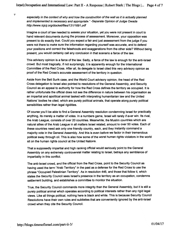*especially in the context of why and how the construction of the wall as it is actually planned and implemented is necessary and appropriate." -Separate Opinion of Judge Owada http://www.icjcij.org/docket/files/131/1691.pdf*

*Imagine a court of law needed to assess your situation, yet you were not present in court to hand relevant documents during the process of assessment. Moreover, your opposition was present to do exactly that. Could you expect a fair and just assessment from the judge if you were not there to make sure the information regarding yourself was accurate, and to defend your positions and correct the falsehoods and exaggerations from the other side? Without being present, you would certainly call any conclusion in that scenario a farce of the law.*

*This advisory opinion is a farce of the law. Sadly, a farce of the law is enough forthe anti-Israel crowd. But most tragically, if not surprisingly, it is apparently enough for the International Committee of the Red Cross. After all, its delegate to Israel cited this very advisory opinion as proof of the Red Cross's accurate assessment of the territory in question.*

*Aside from the Beit Surik case, and the World Court advisory opinion, the head of the Red Cross delegation to Israel also pointed to resolutions of the General Assembly, and Security Council as an appeal to authority for how the Red Cross defines the territory as occupied. It is rather unfortunate the official does not see the difference in nature between his organisation as an impartial and apolitical animal tasked with interpreting humanitarian law and the United Nations' bodies he cited, which are purely political animals, that operate along purely political sensibilities rather than legal rigidities.*

*Of course you'll be able to find a General Assembly resolution condemning Israel for practically anything, its merely a matter of votes. In a numbers game, Israel will rarely if ever win. Its rival, the Arab League, consists of over 20 countries. Meanwhile, the Muslim countries which are natural allies of the Arab League in all matters Israel related, amount to over 50 votes. Each of these countries need ask only one friendly country, each, and they instantly command a majority vote in the General Assembly. And this is even before we factor in their tremendous political sway through oil. This is also how some of the worst human rights violators in the world sit on the human rights council at the United Nations.*

*That a supposedly impartial and high ranking official would seriously point to the General Assembly on any extremely controversial matter relating to Israel, betrays any semblance of impartiality in this conflict.*

*The anti-Israel crowd, and the official from the Red Cross, point to the Security Council as having used the term "Arab Territory" in the past as a defense for the Red Cross to use the phrase "Occupied Palestinian Territory". As in resolution 446, and those that follow it, which states the Security Council sees Israel's presence in the territory as an occupation, condemns settlement building, and establishes a committee to monitor the situation.*

*True, the Security Council commands more integrity than the General Assembly, but it is still a purely political animalwhich operates according to political interests ratherthan any rigid legal views. Like all things political, nothing here is black and white. This is because Security Council Resolutions have their own rules and subtleties that are conveniently ignored by the anti-Israel crowd when they cite the Security Council.*

4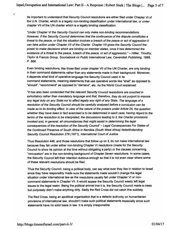*Its important to understand that Security Council resolutions are either filed under Chapter VI of the U.N. Charter, which is a legally non-binding classification under international law, or under chapter VII of the UN charter which is a legally binding classification.*

*"Under Chapter VIthe Security Council can only make non-binding recommendations. However, if the Security Council determines that the continuance ofthe dispute constitutes a threat to the peace, or that the situation involves a breach ofthe peace or act of aggression it can take action under Chapter VII ofthe Charter. Chapter VII gives the Security Council the power to make decisions which are binding on memberstates, once it has determined the existence of a threat to the peace, breach ofthe peace, or act of aggression." - Wilier, Timothy, Taylor & Francis Group. Sourcebook on Public International Law, Cavendish Publishing, 1998, P. 568.*

*Even binding resolutions, like those filed under chapter VII of the UN Charter, are only binding in their command statements rather than any statements made in their background. Moreover, it depends what kind of operative language the Security Council used in its command statements, meaning statements that use operative words like "shall" as opposed to "should", "recommend" as opposed to "demand", etc. As the World Court explained:*

*"It has also been contended that the relevant Security Council resolutions are couched in exhortatory rather than mandatory language and that, therefore, they do not purport to impose any legal duty on any State nor to affect legally any right of any State. The language of a resolution ofthe Security Council should be carefully analysed before a conclusion can be made as to its binding effect. In view ofthe nature ofthe powers underArticle 25, the question whether they have been in fact exercised is to be determined in each case, having regard to the terms of the resolution to be interpreted, the discussions leading to it, the Charter provisions invoked and, in general, all circumstances that might assist in determining the legal consequences ofthe resolution ofthe Security Council" - Legal Consequences For States of the Continued Presence of South Africa in Namibia (South West Africa) Notwithstanding Security Council Resolution 276 (1971), International Court of Justice.*

*Thus Resolution 446, and those resolutions that follow up on it, do not make international law because they fall under either non-binding Chapter VI resolutions (made forthe Security Council to show its opinion at the time without obligating a party) or the clauses concerning "occupation" are in the non-binding background of Chapter Seven resolutions. In some cases, the Security Council left their intention dubious enough so that it is not even clear where some of these relevant resolutions should be filed.*

*Thus the Security Council, being a political body, can say what ever they like in relation to Israel since they have responsibly made sure the statements made wouldn't change the legal situation under international law as the resolutions usually fall under Chapter VI or noncommand statements in Chapter VII. Itwould appear the Security Council wisely left legal issues to the legal realm. Being the political animal that it is, the Security Council made a mess but purposely didn't make anything dirty. Sadly the Red Cross did not catch this subtlety.*

*The Red Cross, being an apolitical organization that is a defacto authority on humanitarian provisions of international law, shouldn't make such political statements especially since such statements have no solid basis in law. It is simply irresponsible.*

Ÿ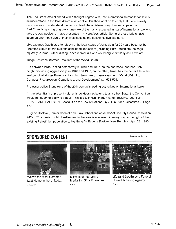The Red Cross official ended with a thought I agree with, that international humanitarian law is misunderstood in the Israel/Palestinian conflict. But then went on to imply that there is really only one way to understand the law involved, the anti-Israel way. It would appear the Red Cross is ignoring or grossly unaware of the many respected jurists of international law who take the very positions I have presented in my previous article. Some of these jurists have spent an enormous part of their lives studying the questions involved here.

Like Jacques Gauthier, after studying the legal status of Jerusalem for 20 years became the foremost expert on the subject, concluded Jerusalem (including East Jerusalem) belongs squarely to Israel. Other distinguished individuals who would argue similarly as I have are:

Judge Schwebel (former President of the World Court):

9

"As between Israel, acting defensively in 1948 and 1967, on the one hand, and her Arab neighbors, acting aggressively, in 1948 and 1967, on the other, Israel has the better title in the territory of what was Palestine, including the whole of Jerusalem." - In "What Weight to Conquest? Aggression, Compliance, and Development", pg. 521-526.

Professor Julius Stone (one of the 20th century's leading authorities on International Law):

"...the West Bank at present held by Israel does not belong to any other State, the Convention would not seem to apply to it at all. This is a technical, though rather decisive, legal point. -ISRAEL AND PALESTINE, Assault on the Law of Nations, By Julius Stone, Discourse 2, Page 177.

Eugene Rostow (Former dean of Yale Law School and co-author of Security Council resolution 242): "The Jewish right of settlement in the area is equivalent in every way to the right of the existing Palestinian population to live there." - Eugene Rostow, New Republic, April 23, 1990

#### *SPONSORED CONTENT*



What's the Most Common Last Name in the United... Ancestry



5 Types of Interactive Marketing (Plus Examples... Ceros



Recommended by

Life (and Death) as a Funeral Home Marketing Agency Ceros